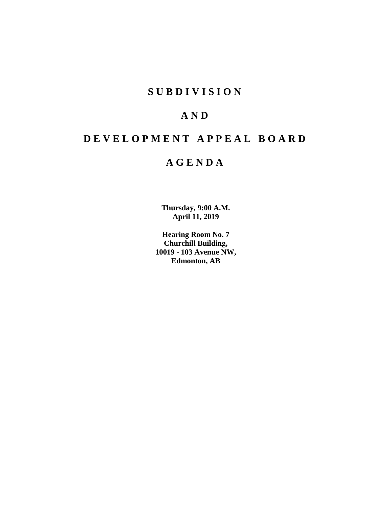## **SUBDIVISION**

# **AND**

# **DEVELOPMENT APPEAL BOARD**

## **AGENDA**

**Thursday, 9:00 A.M. April 11, 2019**

**Hearing Room No. 7 Churchill Building, 10019 - 103 Avenue NW, Edmonton, AB**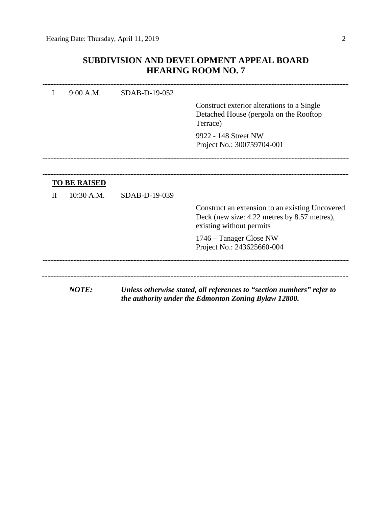### **SUBDIVISION AND DEVELOPMENT APPEAL BOARD HEARING ROOM NO. 7**

|   | 9:00 A.M.           | SDAB-D-19-052 |                                                                                                                               |
|---|---------------------|---------------|-------------------------------------------------------------------------------------------------------------------------------|
|   |                     |               | Construct exterior alterations to a Single<br>Detached House (pergola on the Rooftop<br>Terrace)                              |
|   |                     |               | 9922 - 148 Street NW                                                                                                          |
|   |                     |               | Project No.: 300759704-001                                                                                                    |
|   |                     |               |                                                                                                                               |
|   | <b>TO BE RAISED</b> |               |                                                                                                                               |
| П | 10:30 A.M.          | SDAB-D-19-039 |                                                                                                                               |
|   |                     |               | Construct an extension to an existing Uncovered<br>Deck (new size: 4.22 metres by 8.57 metres),<br>existing without permits   |
|   |                     |               | 1746 – Tanager Close NW<br>Project No.: 243625660-004                                                                         |
|   |                     |               |                                                                                                                               |
|   | <b>NOTE:</b>        |               | Unless otherwise stated, all references to "section numbers" refer to<br>the authority under the Edmonton Zoning Bylaw 12800. |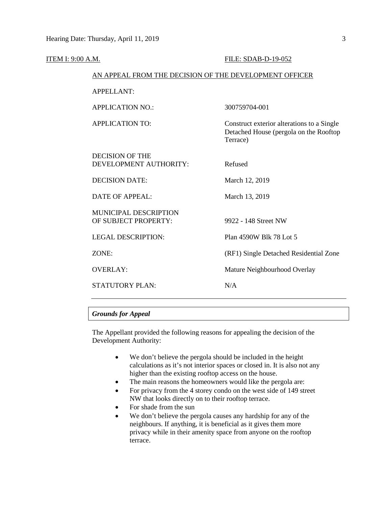| ITEM I: 9:00 A.M. |                                                        | FILE: SDAB-D-19-052                                                                              |
|-------------------|--------------------------------------------------------|--------------------------------------------------------------------------------------------------|
|                   | AN APPEAL FROM THE DECISION OF THE DEVELOPMENT OFFICER |                                                                                                  |
|                   | <b>APPELLANT:</b>                                      |                                                                                                  |
|                   | <b>APPLICATION NO.:</b>                                | 300759704-001                                                                                    |
|                   | <b>APPLICATION TO:</b>                                 | Construct exterior alterations to a Single<br>Detached House (pergola on the Rooftop<br>Terrace) |
|                   | <b>DECISION OF THE</b><br>DEVELOPMENT AUTHORITY:       | Refused                                                                                          |
|                   | <b>DECISION DATE:</b>                                  | March 12, 2019                                                                                   |
|                   | <b>DATE OF APPEAL:</b>                                 | March 13, 2019                                                                                   |
|                   | MUNICIPAL DESCRIPTION<br>OF SUBJECT PROPERTY:          | 9922 - 148 Street NW                                                                             |
|                   | <b>LEGAL DESCRIPTION:</b>                              | Plan 4590W Blk 78 Lot 5                                                                          |
|                   | ZONE:                                                  | (RF1) Single Detached Residential Zone                                                           |
|                   | <b>OVERLAY:</b>                                        | Mature Neighbourhood Overlay                                                                     |
|                   | <b>STATUTORY PLAN:</b>                                 | N/A                                                                                              |
|                   |                                                        |                                                                                                  |

#### *Grounds for Appeal*

The Appellant provided the following reasons for appealing the decision of the Development Authority:

- We don't believe the pergola should be included in the height calculations as it's not interior spaces or closed in. It is also not any higher than the existing rooftop access on the house.
- The main reasons the homeowners would like the pergola are:
- For privacy from the 4 storey condo on the west side of 149 street NW that looks directly on to their rooftop terrace.
- For shade from the sun
- We don't believe the pergola causes any hardship for any of the neighbours. If anything, it is beneficial as it gives them more privacy while in their amenity space from anyone on the rooftop terrace.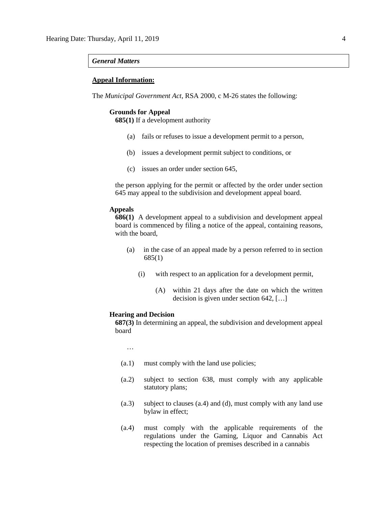#### *General Matters*

#### **Appeal Information:**

The *Municipal Government Act*, RSA 2000, c M-26 states the following:

#### **Grounds for Appeal**

**685(1)** If a development authority

- (a) fails or refuses to issue a development permit to a person,
- (b) issues a development permit subject to conditions, or
- (c) issues an order under section 645,

the person applying for the permit or affected by the order under section 645 may appeal to the subdivision and development appeal board.

#### **Appeals**

**686(1)** A development appeal to a subdivision and development appeal board is commenced by filing a notice of the appeal, containing reasons, with the board,

- (a) in the case of an appeal made by a person referred to in section 685(1)
	- (i) with respect to an application for a development permit,
		- (A) within 21 days after the date on which the written decision is given under section 642, […]

#### **Hearing and Decision**

**687(3)** In determining an appeal, the subdivision and development appeal board

…

- (a.1) must comply with the land use policies;
- (a.2) subject to section 638, must comply with any applicable statutory plans;
- (a.3) subject to clauses (a.4) and (d), must comply with any land use bylaw in effect;
- (a.4) must comply with the applicable requirements of the regulations under the Gaming, Liquor and Cannabis Act respecting the location of premises described in a cannabis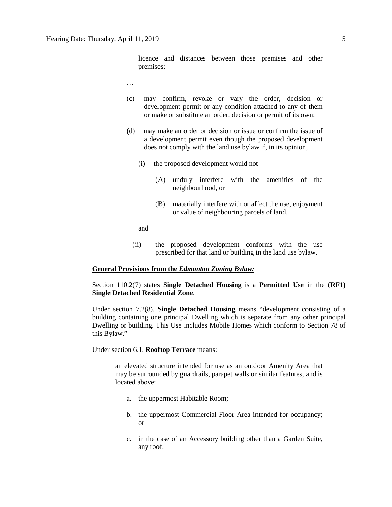licence and distances between those premises and other premises;

- …
- (c) may confirm, revoke or vary the order, decision or development permit or any condition attached to any of them or make or substitute an order, decision or permit of its own;
- (d) may make an order or decision or issue or confirm the issue of a development permit even though the proposed development does not comply with the land use bylaw if, in its opinion,
	- (i) the proposed development would not
		- (A) unduly interfere with the amenities of the neighbourhood, or
		- (B) materially interfere with or affect the use, enjoyment or value of neighbouring parcels of land,

and

(ii) the proposed development conforms with the use prescribed for that land or building in the land use bylaw.

#### **General Provisions from the** *Edmonton Zoning Bylaw:*

Section 110.2(7) states **Single Detached Housing** is a **Permitted Use** in the **(RF1) Single Detached Residential Zone**.

Under section 7.2(8), **Single Detached Housing** means "development consisting of a building containing one principal Dwelling which is separate from any other principal Dwelling or building. This Use includes Mobile Homes which conform to Section 78 of this Bylaw."

#### Under section 6.1, **Rooftop Terrace** means:

an elevated structure intended for use as an outdoor Amenity Area that may be surrounded by guardrails, parapet walls or similar features, and is located above:

- a. the uppermost Habitable Room;
- b. the uppermost Commercial Floor Area intended for occupancy; or
- c. in the case of an Accessory building other than a Garden Suite, any roof.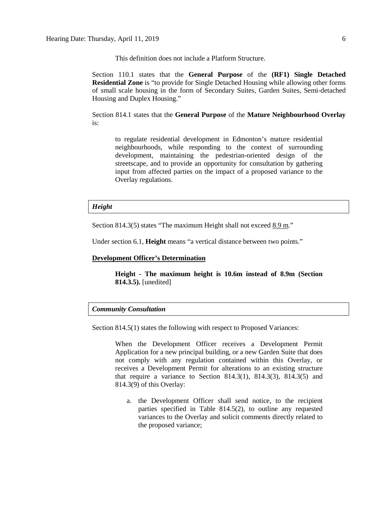This definition does not include a Platform Structure.

Section 110.1 states that the **General Purpose** of the **(RF1) Single Detached Residential Zone** is "to provide for Single Detached Housing while allowing other forms of small scale housing in the form of Secondary Suites, Garden Suites, Semi-detached Housing and Duplex Housing."

Section 814.1 states that the **General Purpose** of the **Mature Neighbourhood Overlay** is:

to regulate residential development in Edmonton's mature residential neighbourhoods, while responding to the context of surrounding development, maintaining the pedestrian-oriented design of the streetscape, and to provide an opportunity for consultation by gathering input from affected parties on the impact of a proposed variance to the Overlay regulations.

#### *Height*

Section 814.3(5) states "The maximum Height shall not exceed 8.9 m."

Under section 6.1, **Height** means "a vertical distance between two points."

#### **Development Officer's Determination**

**Height - The maximum height is 10.6m instead of 8.9m (Section 814.3.5).** [unedited]

#### *Community Consultation*

Section 814.5(1) states the following with respect to Proposed Variances:

When the Development Officer receives a Development Permit Application for a new principal building, or a new Garden Suite that does not comply with any regulation contained within this Overlay, or receives a Development Permit for alterations to an existing structure that require a variance to Section 814.3(1), 814.3(3), 814.3(5) and 814.3(9) of this Overlay:

a. the Development Officer shall send notice, to the recipient parties specified in Table 814.5(2), to outline any requested variances to the Overlay and solicit comments directly related to the proposed variance;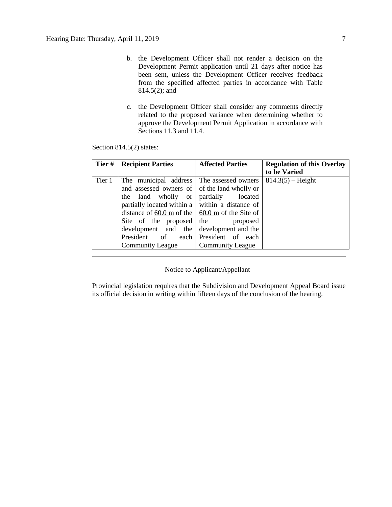- b. the Development Officer shall not render a decision on the Development Permit application until 21 days after notice has been sent, unless the Development Officer receives feedback from the specified affected parties in accordance with Table 814.5(2); and
- c. the Development Officer shall consider any comments directly related to the proposed variance when determining whether to approve the Development Permit Application in accordance with Sections 11.3 and 11.4.

Section 814.5(2) states:

| Tier#  | <b>Recipient Parties</b>                                | <b>Affected Parties</b> | <b>Regulation of this Overlay</b> |
|--------|---------------------------------------------------------|-------------------------|-----------------------------------|
|        |                                                         |                         | to be Varied                      |
| Tier 1 | The municipal address The assessed owners               |                         | $814.3(5)$ – Height               |
|        | and assessed owners of of the land wholly or            |                         |                                   |
|        | the land wholly or                                      | partially<br>located    |                                   |
|        | partially located within a $\vert$ within a distance of |                         |                                   |
|        | distance of 60.0 m of the $\vert$ 60.0 m of the Site of |                         |                                   |
|        | Site of the proposed                                    | the<br>proposed         |                                   |
|        | development and the                                     | development and the     |                                   |
|        | President of each President of each                     |                         |                                   |
|        | <b>Community League</b>                                 | <b>Community League</b> |                                   |

#### Notice to Applicant/Appellant

Provincial legislation requires that the Subdivision and Development Appeal Board issue its official decision in writing within fifteen days of the conclusion of the hearing.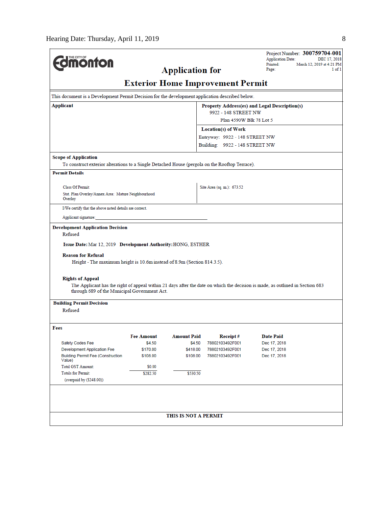| <b>Umonton</b>                                                                                                                                                                                                                                                                     |                      |                              |                                         | Project Number: 300759704-001<br><b>Application Date:</b><br>DEC 17, 2018                                                     |
|------------------------------------------------------------------------------------------------------------------------------------------------------------------------------------------------------------------------------------------------------------------------------------|----------------------|------------------------------|-----------------------------------------|-------------------------------------------------------------------------------------------------------------------------------|
|                                                                                                                                                                                                                                                                                    |                      | <b>Application for</b>       |                                         | Printed:<br>March 12, 2019 at 4:21 PM<br>Page:<br>$1$ of $1$                                                                  |
|                                                                                                                                                                                                                                                                                    |                      |                              | <b>Exterior Home Improvement Permit</b> |                                                                                                                               |
| This document is a Development Permit Decision for the development application described below.                                                                                                                                                                                    |                      |                              |                                         |                                                                                                                               |
| Applicant                                                                                                                                                                                                                                                                          |                      |                              |                                         | Property Address(es) and Legal Description(s)                                                                                 |
|                                                                                                                                                                                                                                                                                    |                      |                              | 9922 - 148 STREET NW                    |                                                                                                                               |
|                                                                                                                                                                                                                                                                                    |                      |                              | Plan 4590W Blk 78 Lot 5                 |                                                                                                                               |
|                                                                                                                                                                                                                                                                                    |                      |                              | <b>Location(s) of Work</b>              |                                                                                                                               |
|                                                                                                                                                                                                                                                                                    |                      |                              | Entryway: 9922 - 148 STREET NW          |                                                                                                                               |
|                                                                                                                                                                                                                                                                                    |                      |                              | Building: 9922 - 148 STREET NW          |                                                                                                                               |
| <b>Scope of Application</b>                                                                                                                                                                                                                                                        |                      |                              |                                         |                                                                                                                               |
| To construct exterior alterations to a Single Detached House (pergola on the Rooftop Terrace).                                                                                                                                                                                     |                      |                              |                                         |                                                                                                                               |
| <b>Permit Details</b>                                                                                                                                                                                                                                                              |                      |                              |                                         |                                                                                                                               |
| <b>Class Of Permit:</b>                                                                                                                                                                                                                                                            |                      |                              | Site Area (sq. m.): 673.52              |                                                                                                                               |
| Stat. Plan Overlay/Annex Area: Mature Neighbourhood                                                                                                                                                                                                                                |                      |                              |                                         |                                                                                                                               |
| Overlay                                                                                                                                                                                                                                                                            |                      |                              |                                         |                                                                                                                               |
| I/We certify that the above noted details are correct.                                                                                                                                                                                                                             |                      |                              |                                         |                                                                                                                               |
| Applicant signature:                                                                                                                                                                                                                                                               |                      |                              |                                         |                                                                                                                               |
| Issue Date: Mar 12, 2019 Development Authority: HONG, ESTHER<br><b>Reason for Refusal</b><br>Height - The maximum height is 10.6m instead of 8.9m (Section 814.3.5).<br><b>Rights of Appeal</b><br>through 689 of the Municipal Government Act.<br><b>Building Permit Decision</b> |                      |                              |                                         | The Applicant has the right of appeal within 21 days after the date on which the decision is made, as outlined in Section 683 |
| Refused                                                                                                                                                                                                                                                                            |                      |                              |                                         |                                                                                                                               |
|                                                                                                                                                                                                                                                                                    |                      |                              |                                         |                                                                                                                               |
| Fees                                                                                                                                                                                                                                                                               |                      |                              | Receipt#                                | <b>Date Paid</b>                                                                                                              |
| Safety Codes Fee                                                                                                                                                                                                                                                                   | Fee Amount<br>\$4.50 | <b>Amount Paid</b><br>\$4.50 | 78802103492F001                         | Dec 17, 2018                                                                                                                  |
| <b>Development Application Fee</b>                                                                                                                                                                                                                                                 | \$170.00             | \$418.00                     | 78802103492F001                         | Dec 17, 2018                                                                                                                  |
| <b>Building Permit Fee (Construction</b><br>Value)                                                                                                                                                                                                                                 | \$108.00             | \$108.00                     | 78802103492F001                         | Dec 17, 2018                                                                                                                  |
| <b>Total GST Amount:</b>                                                                                                                                                                                                                                                           | \$0.00               |                              |                                         |                                                                                                                               |
| <b>Totals for Permit:</b><br>(overpaid by (\$248.00))                                                                                                                                                                                                                              | \$282.50             | \$530.50                     |                                         |                                                                                                                               |
|                                                                                                                                                                                                                                                                                    |                      | THIS IS NOT A PERMIT         |                                         |                                                                                                                               |
|                                                                                                                                                                                                                                                                                    |                      |                              |                                         |                                                                                                                               |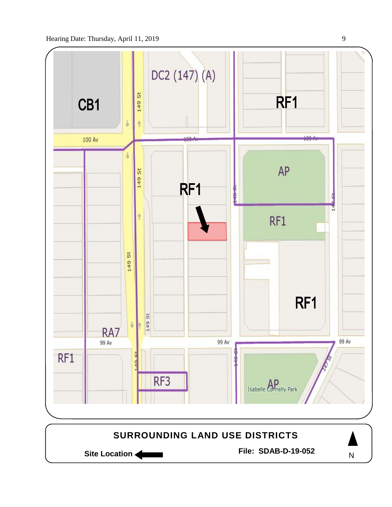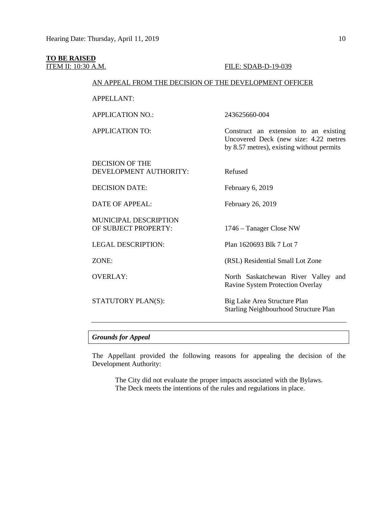### **TO BE RAISED**

**ITEM II:** 10:30 A.M. **FILE:** SDAB-D-19-039

#### AN APPEAL FROM THE DECISION OF THE DEVELOPMENT OFFICER

APPELLANT:

APPLICATION NO.: 243625660-004

APPLICATION TO: Construct an extension to an existing

DECISION OF THE DEVELOPMENT AUTHORITY: Refused

DECISION DATE: February 6, 2019

DATE OF APPEAL: February 26, 2019

MUNICIPAL DESCRIPTION OF SUBJECT PROPERTY: 1746 – Tanager Close NW

LEGAL DESCRIPTION: Plan 1620693 Blk 7 Lot 7

ZONE: (RSL) Residential Small Lot Zone

OVERLAY: North Saskatchewan River Valley and Ravine System Protection Overlay

Uncovered Deck (new size: 4.22 metres by 8.57 metres), existing without permits

STATUTORY PLAN(S): Big Lake Area Structure Plan Starling Neighbourhood Structure Plan

*Grounds for Appeal*

The Appellant provided the following reasons for appealing the decision of the Development Authority:

The City did not evaluate the proper impacts associated with the Bylaws. The Deck meets the intentions of the rules and regulations in place.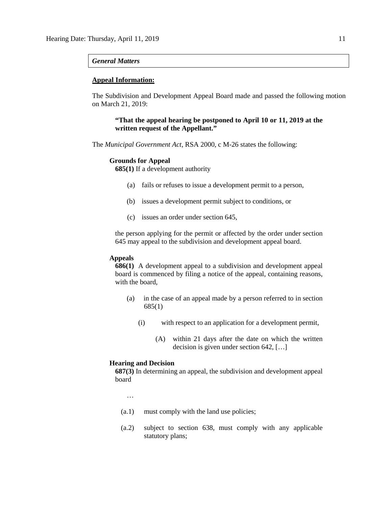#### *General Matters*

#### **Appeal Information:**

The Subdivision and Development Appeal Board made and passed the following motion on March 21, 2019:

#### **"That the appeal hearing be postponed to April 10 or 11, 2019 at the written request of the Appellant."**

The *Municipal Government Act*, RSA 2000, c M-26 states the following:

#### **Grounds for Appeal**

**685(1)** If a development authority

- (a) fails or refuses to issue a development permit to a person,
- (b) issues a development permit subject to conditions, or
- (c) issues an order under section 645,

the person applying for the permit or affected by the order under section 645 may appeal to the subdivision and development appeal board.

#### **Appeals**

**686(1)** A development appeal to a subdivision and development appeal board is commenced by filing a notice of the appeal, containing reasons, with the board,

- (a) in the case of an appeal made by a person referred to in section 685(1)
	- (i) with respect to an application for a development permit,
		- (A) within 21 days after the date on which the written decision is given under section 642, […]

#### **Hearing and Decision**

**687(3)** In determining an appeal, the subdivision and development appeal board

…

- (a.1) must comply with the land use policies;
- (a.2) subject to section 638, must comply with any applicable statutory plans;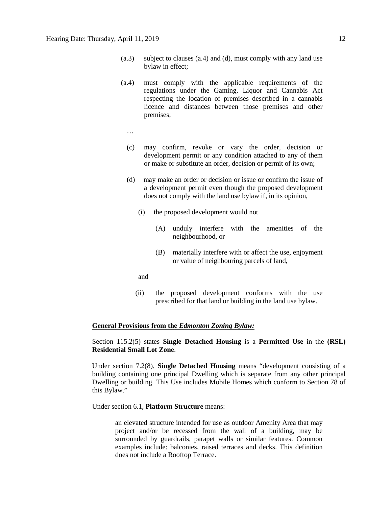- (a.3) subject to clauses (a.4) and (d), must comply with any land use bylaw in effect;
- (a.4) must comply with the applicable requirements of the regulations under the Gaming, Liquor and Cannabis Act respecting the location of premises described in a cannabis licence and distances between those premises and other premises;
	- …
	- (c) may confirm, revoke or vary the order, decision or development permit or any condition attached to any of them or make or substitute an order, decision or permit of its own;
	- (d) may make an order or decision or issue or confirm the issue of a development permit even though the proposed development does not comply with the land use bylaw if, in its opinion,
		- (i) the proposed development would not
			- (A) unduly interfere with the amenities of the neighbourhood, or
			- (B) materially interfere with or affect the use, enjoyment or value of neighbouring parcels of land,
		- and
		- (ii) the proposed development conforms with the use prescribed for that land or building in the land use bylaw.

#### **General Provisions from the** *Edmonton Zoning Bylaw:*

Section 115.2(5) states **Single Detached Housing** is a **Permitted Use** in the **(RSL) Residential Small Lot Zone**.

Under section 7.2(8), **Single Detached Housing** means "development consisting of a building containing one principal Dwelling which is separate from any other principal Dwelling or building. This Use includes Mobile Homes which conform to Section 78 of this Bylaw."

Under section 6.1, **Platform Structure** means:

an elevated structure intended for use as outdoor Amenity Area that may project and/or be recessed from the wall of a building, may be surrounded by guardrails, parapet walls or similar features. Common examples include: balconies, raised terraces and decks. This definition does not include a Rooftop Terrace.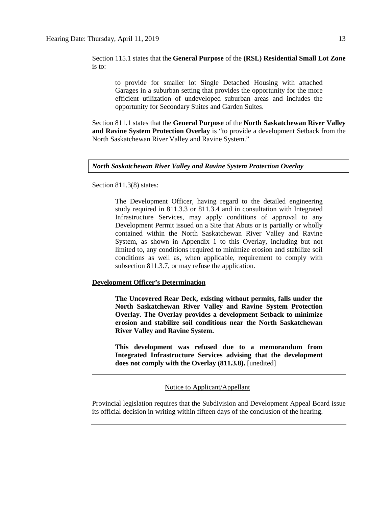Section 115.1 states that the **General Purpose** of the **(RSL) Residential Small Lot Zone** is to:

to provide for smaller lot Single Detached Housing with attached Garages in a suburban setting that provides the opportunity for the more efficient utilization of undeveloped suburban areas and includes the opportunity for Secondary Suites and Garden Suites.

Section 811.1 states that the **General Purpose** of the **North Saskatchewan River Valley and Ravine System Protection Overlay** is "to provide a development Setback from the North Saskatchewan River Valley and Ravine System."

#### *North Saskatchewan River Valley and Ravine System Protection Overlay*

Section 811.3(8) states:

The Development Officer, having regard to the detailed engineering study required in 811.3.3 or 811.3.4 and in consultation with Integrated Infrastructure Services, may apply conditions of approval to any Development Permit issued on a Site that Abuts or is partially or wholly contained within the North Saskatchewan River Valley and Ravine System, as shown in Appendix 1 to this Overlay, including but not limited to, any conditions required to minimize erosion and stabilize soil conditions as well as, when applicable, requirement to comply with subsection 811.3.7, or may refuse the application.

#### **Development Officer's Determination**

**The Uncovered Rear Deck, existing without permits, falls under the North Saskatchewan River Valley and Ravine System Protection Overlay. The Overlay provides a development Setback to minimize erosion and stabilize soil conditions near the North Saskatchewan River Valley and Ravine System.**

**This development was refused due to a memorandum from Integrated Infrastructure Services advising that the development does not comply with the Overlay (811.3.8).** [unedited]

Notice to Applicant/Appellant

Provincial legislation requires that the Subdivision and Development Appeal Board issue its official decision in writing within fifteen days of the conclusion of the hearing.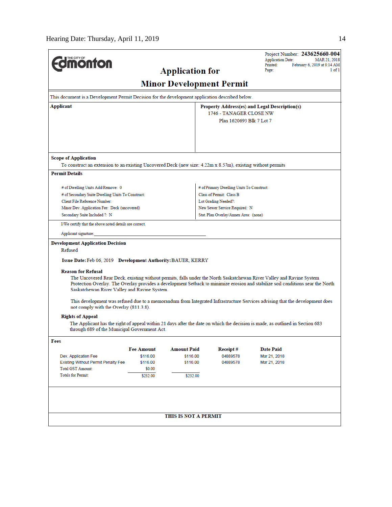|                                                                                                                                                                                                                           |                                               |                                 |                                           | Project Number: 243625660-004<br><b>Application Date:</b><br>MAR 21, 2018                                                                                                                                                                                                                                                                                                                                                                                                                                               |
|---------------------------------------------------------------------------------------------------------------------------------------------------------------------------------------------------------------------------|-----------------------------------------------|---------------------------------|-------------------------------------------|-------------------------------------------------------------------------------------------------------------------------------------------------------------------------------------------------------------------------------------------------------------------------------------------------------------------------------------------------------------------------------------------------------------------------------------------------------------------------------------------------------------------------|
| <b><i><u><u>monton</u></u></i></b>                                                                                                                                                                                        |                                               |                                 |                                           | Printed:<br>February 6, 2019 at 8:14 AM                                                                                                                                                                                                                                                                                                                                                                                                                                                                                 |
|                                                                                                                                                                                                                           |                                               | <b>Application for</b>          |                                           | Page:<br>1 of 1                                                                                                                                                                                                                                                                                                                                                                                                                                                                                                         |
|                                                                                                                                                                                                                           |                                               | <b>Minor Development Permit</b> |                                           |                                                                                                                                                                                                                                                                                                                                                                                                                                                                                                                         |
| This document is a Development Permit Decision for the development application described below.                                                                                                                           |                                               |                                 |                                           |                                                                                                                                                                                                                                                                                                                                                                                                                                                                                                                         |
| Applicant                                                                                                                                                                                                                 | Property Address(es) and Legal Description(s) |                                 |                                           |                                                                                                                                                                                                                                                                                                                                                                                                                                                                                                                         |
|                                                                                                                                                                                                                           |                                               |                                 | 1746 - TANAGER CLOSE NW                   |                                                                                                                                                                                                                                                                                                                                                                                                                                                                                                                         |
|                                                                                                                                                                                                                           |                                               |                                 | Plan 1620693 Blk 7 Lot 7                  |                                                                                                                                                                                                                                                                                                                                                                                                                                                                                                                         |
| <b>Scope of Application</b><br>To construct an extension to an existing Uncovered Deck (new size: 4.22m x 8.57m), existing without permits                                                                                |                                               |                                 |                                           |                                                                                                                                                                                                                                                                                                                                                                                                                                                                                                                         |
| <b>Permit Details</b>                                                                                                                                                                                                     |                                               |                                 |                                           |                                                                                                                                                                                                                                                                                                                                                                                                                                                                                                                         |
|                                                                                                                                                                                                                           |                                               |                                 |                                           |                                                                                                                                                                                                                                                                                                                                                                                                                                                                                                                         |
| # of Dwelling Units Add/Remove: 0                                                                                                                                                                                         |                                               |                                 | # of Primary Dwelling Units To Construct: |                                                                                                                                                                                                                                                                                                                                                                                                                                                                                                                         |
| # of Secondary Suite Dwelling Units To Construct:                                                                                                                                                                         |                                               |                                 | Class of Permit: Class B                  |                                                                                                                                                                                                                                                                                                                                                                                                                                                                                                                         |
| Client File Reference Number:                                                                                                                                                                                             |                                               |                                 | Lot Grading Needed?:                      |                                                                                                                                                                                                                                                                                                                                                                                                                                                                                                                         |
| Minor Dev. Application Fee: Deck (uncovered)                                                                                                                                                                              |                                               |                                 | New Sewer Service Required: N             |                                                                                                                                                                                                                                                                                                                                                                                                                                                                                                                         |
| Secondary Suite Included ?: N                                                                                                                                                                                             |                                               |                                 | Stat. Plan Overlay/Annex Area: (none)     |                                                                                                                                                                                                                                                                                                                                                                                                                                                                                                                         |
| I/We certify that the above noted details are correct.                                                                                                                                                                    |                                               |                                 |                                           |                                                                                                                                                                                                                                                                                                                                                                                                                                                                                                                         |
| Applicant signature:                                                                                                                                                                                                      |                                               |                                 |                                           |                                                                                                                                                                                                                                                                                                                                                                                                                                                                                                                         |
| Refused<br>Issue Date: Feb 06, 2019 Development Authority: BAUER, KERRY<br><b>Reason for Refusal</b><br>Saskatchewan River Valley and Ravine System.<br>not comply with the Overlay (811.3.8).<br><b>Rights of Appeal</b> |                                               |                                 |                                           | The Uncovered Rear Deck, existing without permits, falls under the North Saskatchewan River Valley and Ravine System<br>Protection Overlay. The Overlay provides a development Setback to minimize erosion and stabilize soil conditions near the North<br>This development was refused due to a memorandum from Integrated Infrastructure Services advising that the development does<br>The Applicant has the right of appeal within 21 days after the date on which the decision is made, as outlined in Section 683 |
| through 689 of the Municipal Government Act.                                                                                                                                                                              |                                               |                                 |                                           |                                                                                                                                                                                                                                                                                                                                                                                                                                                                                                                         |
| Fees                                                                                                                                                                                                                      |                                               |                                 |                                           |                                                                                                                                                                                                                                                                                                                                                                                                                                                                                                                         |
| Dev. Application Fee                                                                                                                                                                                                      | <b>Fee Amount</b><br>\$116.00                 | <b>Amount Paid</b><br>\$116.00  | Receipt#<br>04889578                      | Date Paid<br>Mar 21, 2018                                                                                                                                                                                                                                                                                                                                                                                                                                                                                               |
| <b>Existing Without Permit Penalty Fee</b>                                                                                                                                                                                | \$116.00                                      | \$116.00                        | 04889578                                  | Mar 21, 2018                                                                                                                                                                                                                                                                                                                                                                                                                                                                                                            |
| <b>Total GST Amount:</b>                                                                                                                                                                                                  | \$0.00                                        |                                 |                                           |                                                                                                                                                                                                                                                                                                                                                                                                                                                                                                                         |
| Totals for Permit:                                                                                                                                                                                                        | \$232.00                                      | \$232.00                        |                                           |                                                                                                                                                                                                                                                                                                                                                                                                                                                                                                                         |
|                                                                                                                                                                                                                           |                                               | THIS IS NOT A PERMIT            |                                           |                                                                                                                                                                                                                                                                                                                                                                                                                                                                                                                         |